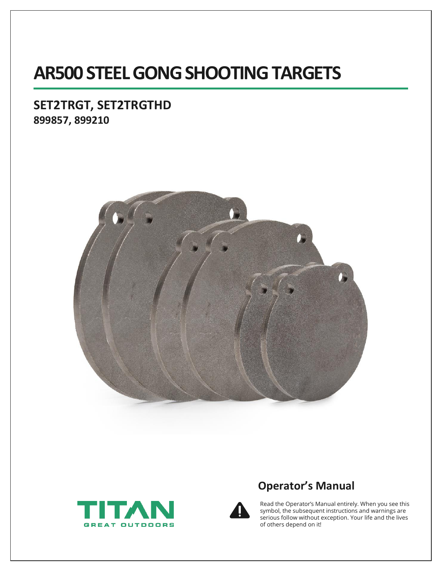# **AR500 STEEL GONG SHOOTING TARGETS**

### **SET2TRGT, SET2TRGTHD 899857, 899210**







## **Operator's Manual**

Read the Operator's Manual entirely. When you see this symbol, the subsequent instructions and warnings are serious follow without exception. Your life and the lives of others depend on it!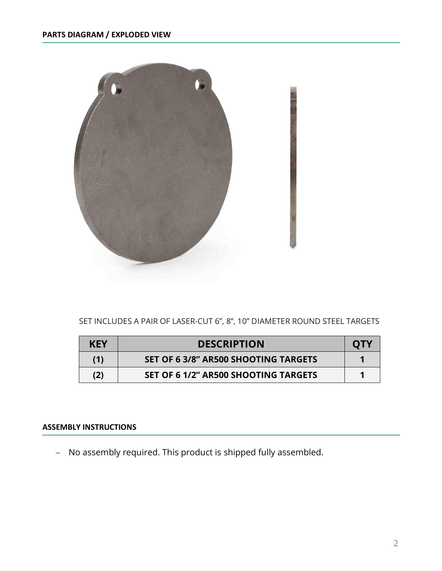

### SET INCLUDES A PAIR OF LASER-CUT 6", 8", 10" DIAMETER ROUND STEEL TARGETS

| <b>KEY</b> | <b>DESCRIPTION</b>                          | OTV |
|------------|---------------------------------------------|-----|
| (1)        | <b>SET OF 6 3/8" AR500 SHOOTING TARGETS</b> |     |
| (2)        | SET OF 6 1/2" AR500 SHOOTING TARGETS        |     |

#### **ASSEMBLY INSTRUCTIONS**

− No assembly required. This product is shipped fully assembled.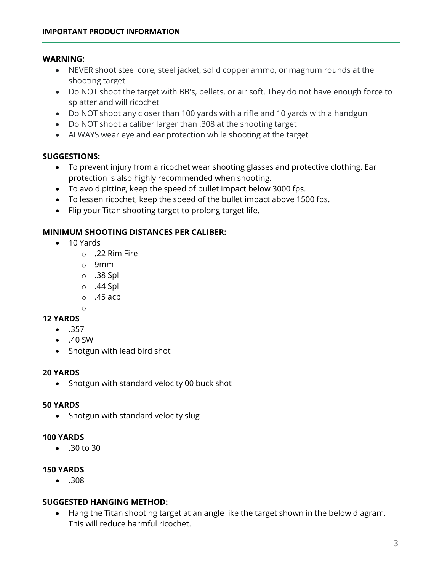#### **WARNING:**

- NEVER shoot steel core, steel jacket, solid copper ammo, or magnum rounds at the shooting target
- Do NOT shoot the target with BB's, pellets, or air soft. They do not have enough force to splatter and will ricochet
- Do NOT shoot any closer than 100 yards with a rifle and 10 yards with a handgun
- Do NOT shoot a caliber larger than .308 at the shooting target
- ALWAYS wear eye and ear protection while shooting at the target

#### **SUGGESTIONS:**

- To prevent injury from a ricochet wear shooting glasses and protective clothing. Ear protection is also highly recommended when shooting.
- To avoid pitting, keep the speed of bullet impact below 3000 fps.
- To lessen ricochet, keep the speed of the bullet impact above 1500 fps.
- Flip your Titan shooting target to prolong target life.

#### **MINIMUM SHOOTING DISTANCES PER CALIBER:**

- 10 Yards
	- $\circ$  .22 Rim Fire
	- o 9mm
	- o .38 Spl
	- o .44 Spl
	- $\circ$  .45 acp

#### **12 YARDS**

- .357
- .40 SW

o

• Shotgun with lead bird shot

#### **20 YARDS**

• Shotgun with standard velocity 00 buck shot

#### **50 YARDS**

• Shotgun with standard velocity slug

#### **100 YARDS**

• .30 to 30

#### **150 YARDS**

• .308

#### **SUGGESTED HANGING METHOD:**

• Hang the Titan shooting target at an angle like the target shown in the below diagram. This will reduce harmful ricochet.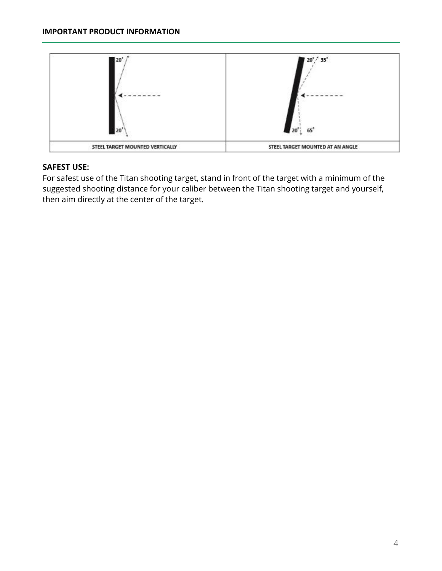

### **SAFEST USE:**

For safest use of the Titan shooting target, stand in front of the target with a minimum of the suggested shooting distance for your caliber between the Titan shooting target and yourself, then aim directly at the center of the target.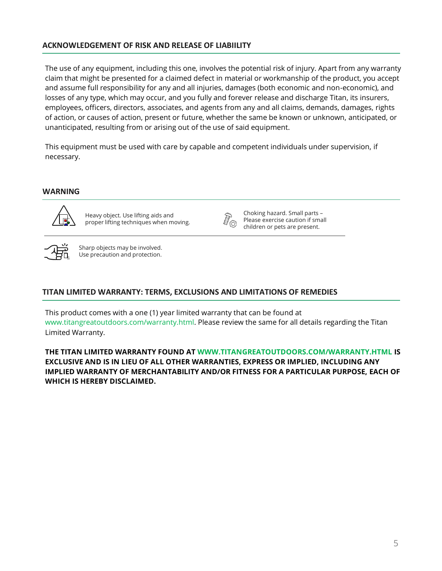#### **ACKNOWLEDGEMENT OF RISK AND RELEASE OF LIABIILITY**

The use of any equipment, including this one, involves the potential risk of injury. Apart from any warranty claim that might be presented for a claimed defect in material or workmanship of the product, you accept and assume full responsibility for any and all injuries, damages (both economic and non-economic), and losses of any type, which may occur, and you fully and forever release and discharge Titan, its insurers, employees, officers, directors, associates, and agents from any and all claims, demands, damages, rights of action, or causes of action, present or future, whether the same be known or unknown, anticipated, or unanticipated, resulting from or arising out of the use of said equipment.

This equipment must be used with care by capable and competent individuals under supervision, if necessary.

#### **WARNING**



Heavy object. Use lifting aids and proper lifting techniques when moving.



Choking hazard. Small parts – Please exercise caution if small children or pets are present.



Sharp objects may be involved. Use precaution and protection.

#### **TITAN LIMITED WARRANTY: TERMS, EXCLUSIONS AND LIMITATIONS OF REMEDIES**

This product comes with a one (1) year limited warranty that can be found at www.titangreatoutdoors.com/warranty.html. Please review the same for all details regarding the Titan Limited Warranty.

**THE TITAN LIMITED WARRANTY FOUND AT WWW.TITANGREATOUTDOORS.COM/WARRANTY.HTML IS EXCLUSIVE AND IS IN LIEU OF ALL OTHER WARRANTIES, EXPRESS OR IMPLIED, INCLUDING ANY IMPLIED WARRANTY OF MERCHANTABILITY AND/OR FITNESS FOR A PARTICULAR PURPOSE, EACH OF WHICH IS HEREBY DISCLAIMED.**